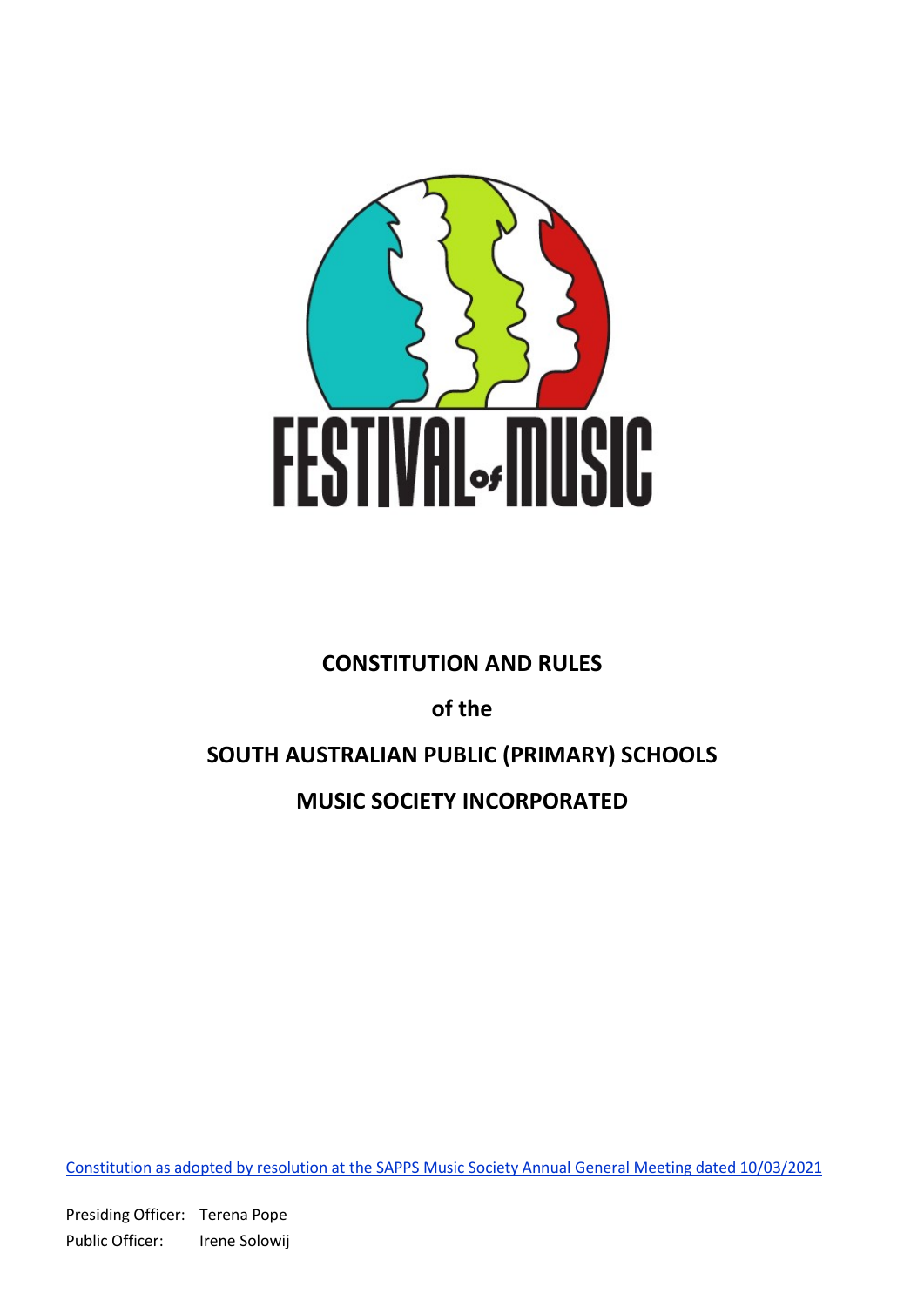

# CONSTITUTION AND RULES

of the

# SOUTH AUSTRALIAN PUBLIC (PRIMARY) SCHOOLS

# MUSIC SOCIETY INCORPORATED

Constitution as adopted by resolution at the SAPPS Music Society Annual General Meeting dated 10/03/2021

Presiding Officer: Terena Pope Public Officer: Irene Solowij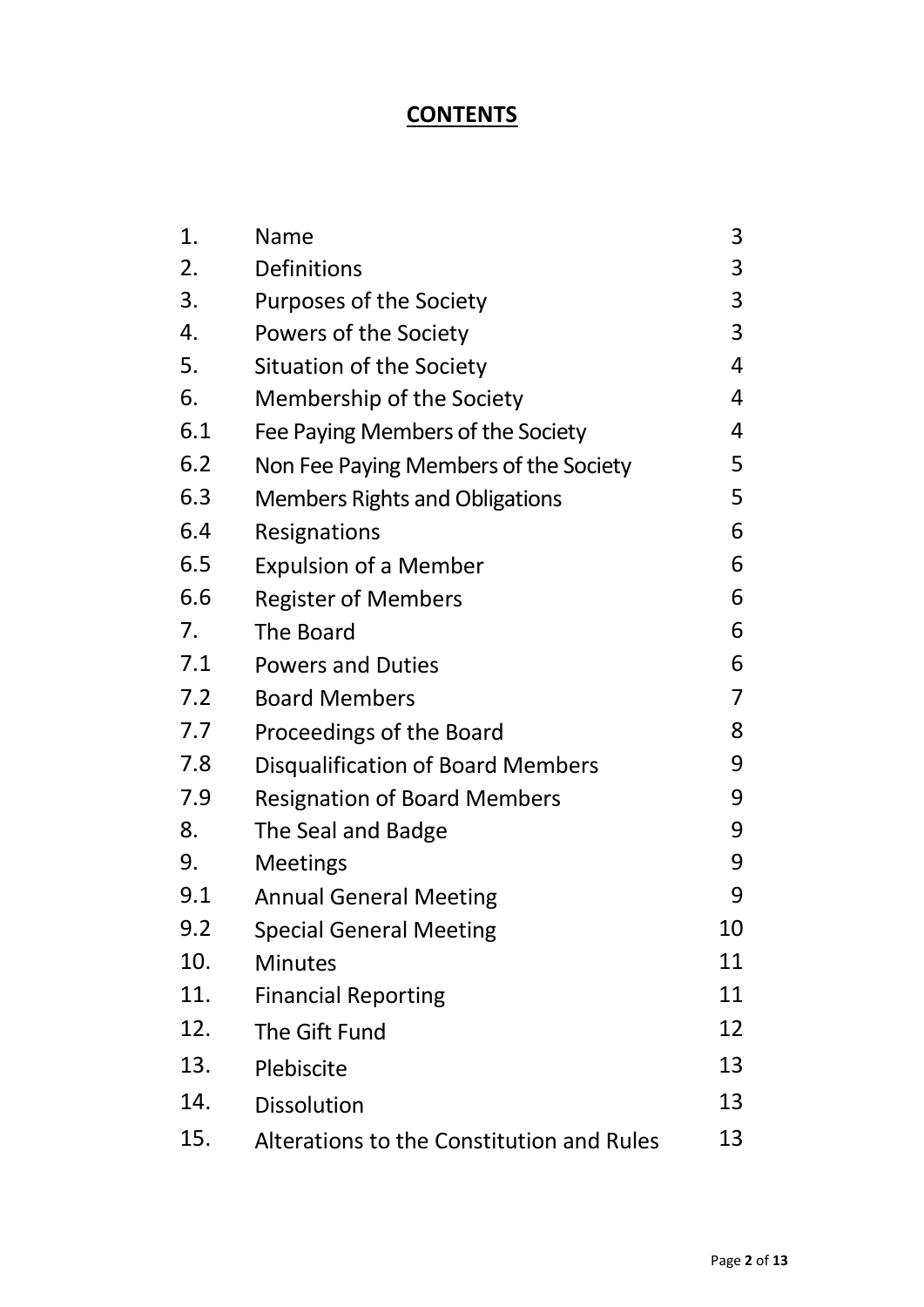# **CONTENTS**

| 1.  | Name                                      | 3  |
|-----|-------------------------------------------|----|
| 2.  | <b>Definitions</b>                        | 3  |
| 3.  | Purposes of the Society                   | 3  |
| 4.  | Powers of the Society                     | 3  |
| 5.  | Situation of the Society                  | 4  |
| 6.  | Membership of the Society                 | 4  |
| 6.1 | Fee Paying Members of the Society         | 4  |
| 6.2 | Non Fee Paying Members of the Society     | 5  |
| 6.3 | <b>Members Rights and Obligations</b>     | 5  |
| 6.4 | Resignations                              | 6  |
| 6.5 | <b>Expulsion of a Member</b>              | 6  |
| 6.6 | <b>Register of Members</b>                | 6  |
| 7.  | The Board                                 | 6  |
| 7.1 | <b>Powers and Duties</b>                  | 6  |
| 7.2 | <b>Board Members</b>                      | 7  |
| 7.7 | Proceedings of the Board                  | 8  |
| 7.8 | Disqualification of Board Members         | 9  |
| 7.9 | <b>Resignation of Board Members</b>       | 9  |
| 8.  | The Seal and Badge                        | 9  |
| 9.  | <b>Meetings</b>                           | 9  |
| 9.1 | <b>Annual General Meeting</b>             | 9  |
| 9.2 | <b>Special General Meeting</b>            | 10 |
| 10. | <b>Minutes</b>                            | 11 |
| 11. | <b>Financial Reporting</b>                | 11 |
| 12. | The Gift Fund                             | 12 |
| 13. | Plebiscite                                | 13 |
| 14. | <b>Dissolution</b>                        | 13 |
| 15. | Alterations to the Constitution and Rules | 13 |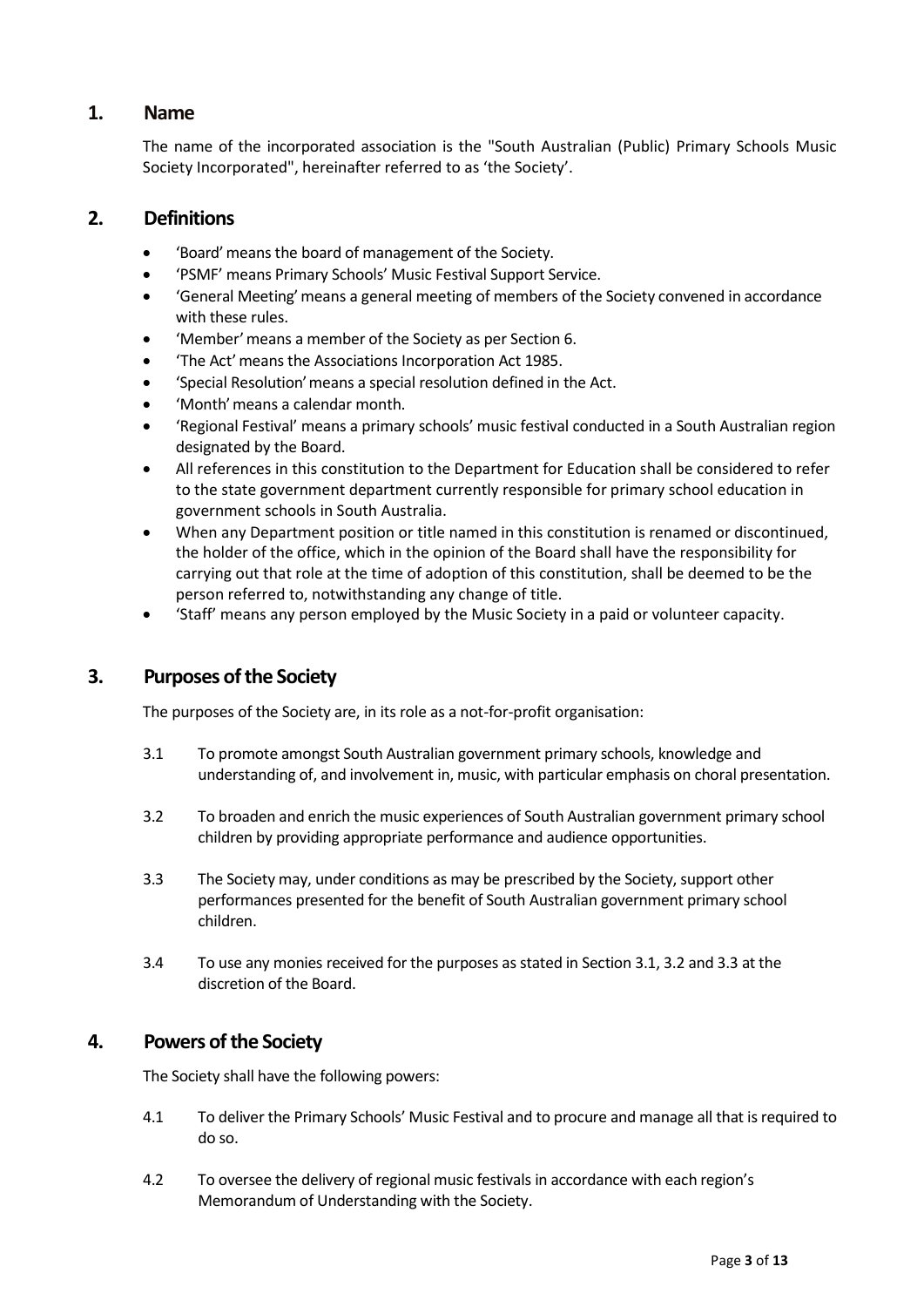# 1. Name

The name of the incorporated association is the "South Australian (Public) Primary Schools Music Society Incorporated", hereinafter referred to as 'the Society'.

# 2. Definitions

- 'Board' means the board of management of the Society.
- 'PSMF' means Primary Schools' Music Festival Support Service.
- 'General Meeting' means a general meeting of members of the Society convened in accordance with these rules.
- 'Member' means a member of the Society as per Section 6.
- 'The Act' means the Associations Incorporation Act 1985.
- 'Special Resolution' means a special resolution defined in the Act.
- 'Month' means a calendar month.
- 'Regional Festival' means a primary schools' music festival conducted in a South Australian region designated by the Board.
- All references in this constitution to the Department for Education shall be considered to refer to the state government department currently responsible for primary school education in government schools in South Australia.
- When any Department position or title named in this constitution is renamed or discontinued, the holder of the office, which in the opinion of the Board shall have the responsibility for carrying out that role at the time of adoption of this constitution, shall be deemed to be the person referred to, notwithstanding any change of title.
- 'Staff' means any person employed by the Music Society in a paid or volunteer capacity.

# 3. Purposes of the Society

The purposes of the Society are, in its role as a not-for-profit organisation:

- 3.1 To promote amongst South Australian government primary schools, knowledge and understanding of, and involvement in, music, with particular emphasis on choral presentation.
- 3.2 To broaden and enrich the music experiences of South Australian government primary school children by providing appropriate performance and audience opportunities.
- 3.3 The Society may, under conditions as may be prescribed by the Society, support other performances presented for the benefit of South Australian government primary school children.
- 3.4 To use any monies received for the purposes as stated in Section 3.1, 3.2 and 3.3 at the discretion of the Board.

# 4. Powers of the Society

The Society shall have the following powers:

- 4.1 To deliver the Primary Schools' Music Festival and to procure and manage all that is required to do so.
- 4.2 To oversee the delivery of regional music festivals in accordance with each region's Memorandum of Understanding with the Society.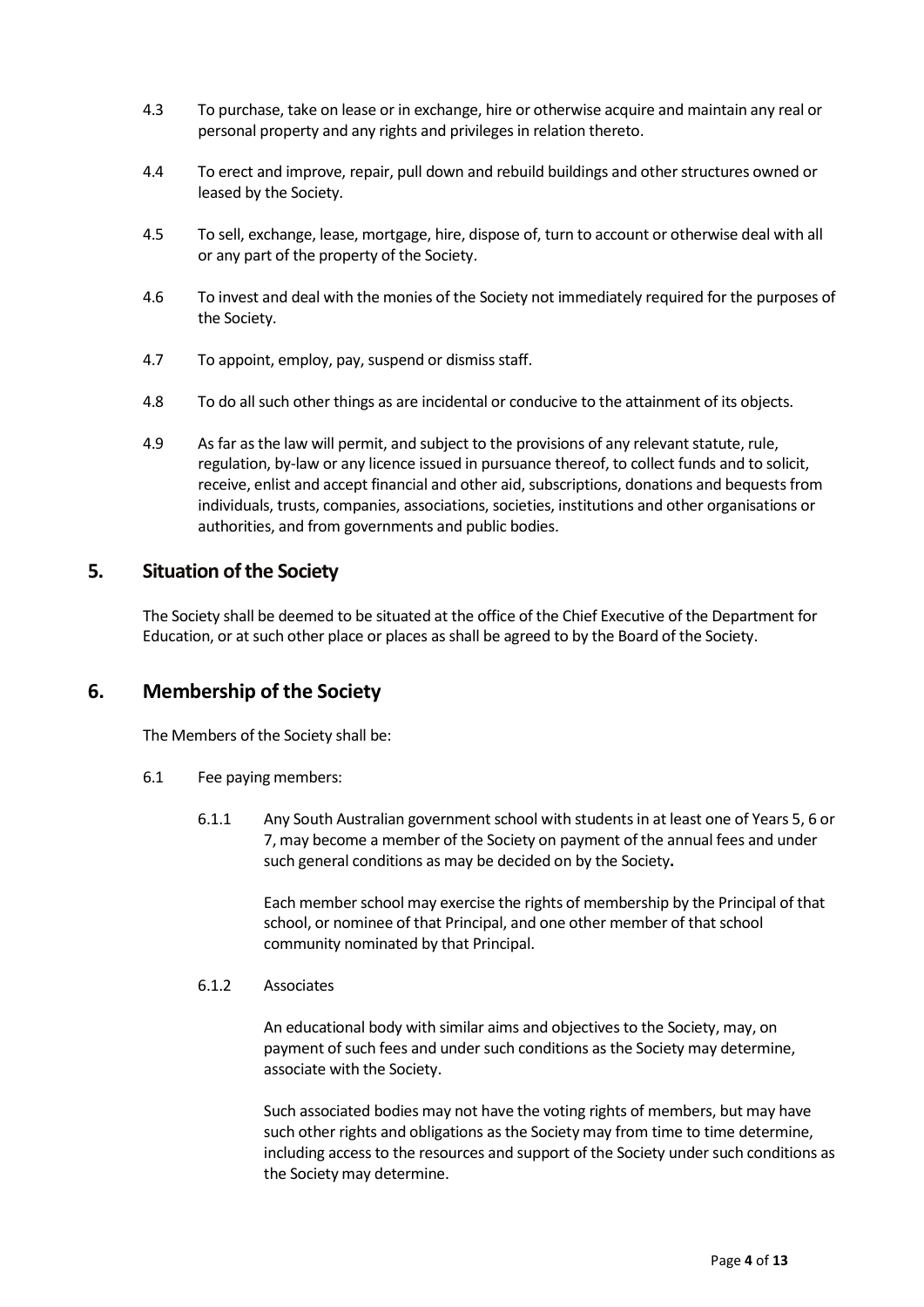- 4.3 To purchase, take on lease or in exchange, hire or otherwise acquire and maintain any real or personal property and any rights and privileges in relation thereto.
- 4.4 To erect and improve, repair, pull down and rebuild buildings and other structures owned or leased by the Society.
- 4.5 To sell, exchange, lease, mortgage, hire, dispose of, turn to account or otherwise deal with all or any part of the property of the Society.
- 4.6 To invest and deal with the monies of the Society not immediately required for the purposes of the Society.
- 4.7 To appoint, employ, pay, suspend or dismiss staff.
- 4.8 To do all such other things as are incidental or conducive to the attainment of its objects.
- 4.9 As far as the law will permit, and subject to the provisions of any relevant statute, rule, regulation, by-law or any licence issued in pursuance thereof, to collect funds and to solicit, receive, enlist and accept financial and other aid, subscriptions, donations and bequests from individuals, trusts, companies, associations, societies, institutions and other organisations or authorities, and from governments and public bodies.

### 5. Situation of the Society

 The Society shall be deemed to be situated at the office of the Chief Executive of the Department for Education, or at such other place or places as shall be agreed to by the Board of the Society.

# 6. Membership of the Society

The Members of the Society shall be:

- 6.1 Fee paying members:
	- 6.1.1 Any South Australian government school with students in at least one of Years 5, 6 or 7, may become a member of the Society on payment of the annual fees and under such general conditions as may be decided on by the Society.

Each member school may exercise the rights of membership by the Principal of that school, or nominee of that Principal, and one other member of that school community nominated by that Principal.

#### 6.1.2 Associates

 An educational body with similar aims and objectives to the Society, may, on payment of such fees and under such conditions as the Society may determine, associate with the Society.

 Such associated bodies may not have the voting rights of members, but may have such other rights and obligations as the Society may from time to time determine, including access to the resources and support of the Society under such conditions as the Society may determine.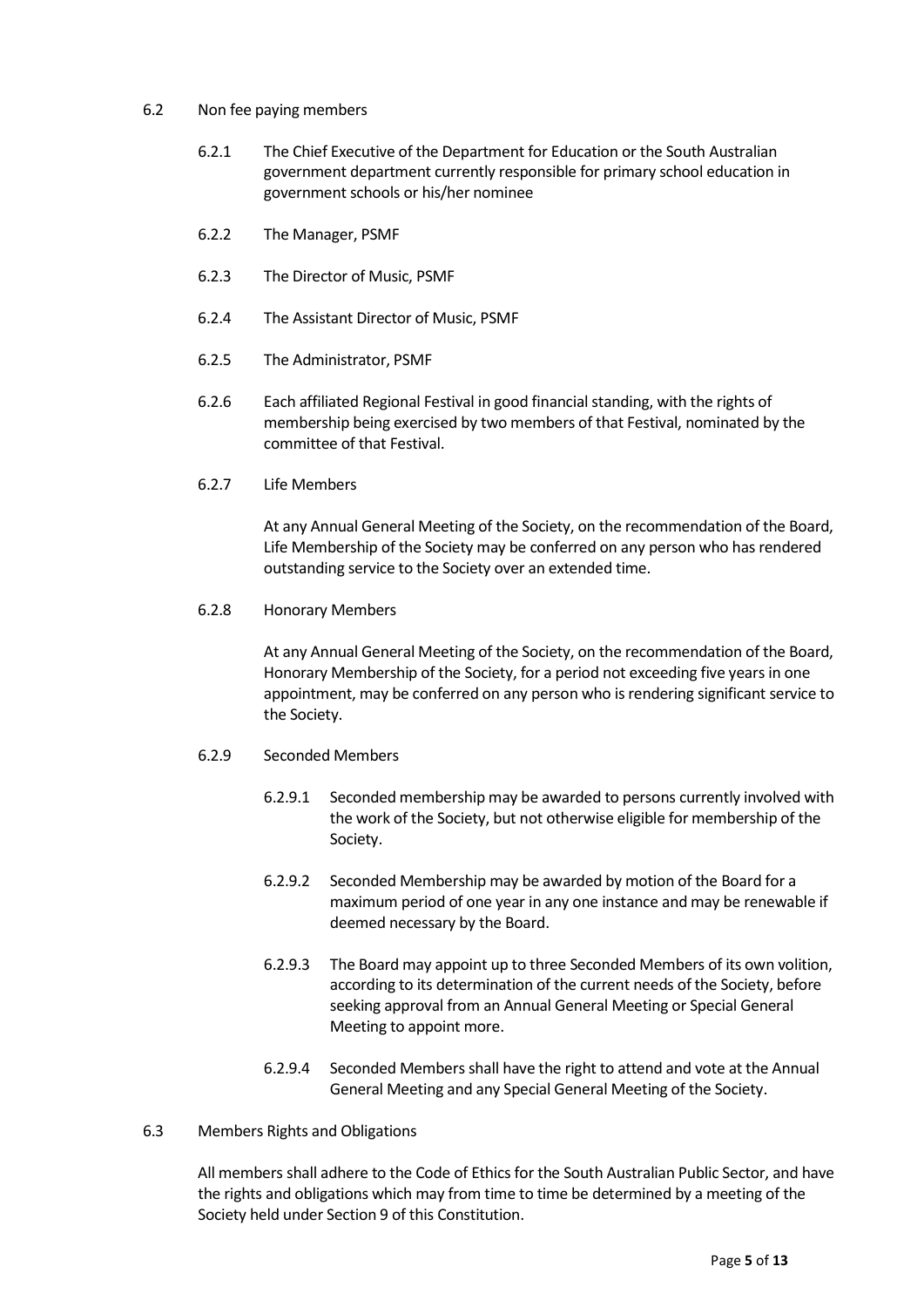#### 6.2 Non fee paying members

- 6.2.1 The Chief Executive of the Department for Education or the South Australian government department currently responsible for primary school education in government schools or his/her nominee
- 6.2.2 The Manager, PSMF
- 6.2.3 The Director of Music, PSMF
- 6.2.4 The Assistant Director of Music, PSMF
- 6.2.5 The Administrator, PSMF
- 6.2.6 Each affiliated Regional Festival in good financial standing, with the rights of membership being exercised by two members of that Festival, nominated by the committee of that Festival.
- 6.2.7 Life Members

 At any Annual General Meeting of the Society, on the recommendation of the Board, Life Membership of the Society may be conferred on any person who has rendered outstanding service to the Society over an extended time.

6.2.8 Honorary Members

 At any Annual General Meeting of the Society, on the recommendation of the Board, Honorary Membership of the Society, for a period not exceeding five years in one appointment, may be conferred on any person who is rendering significant service to the Society.

- 6.2.9 Seconded Members
	- 6.2.9.1 Seconded membership may be awarded to persons currently involved with the work of the Society, but not otherwise eligible for membership of the Society.
	- 6.2.9.2 Seconded Membership may be awarded by motion of the Board for a maximum period of one year in any one instance and may be renewable if deemed necessary by the Board.
	- 6.2.9.3 The Board may appoint up to three Seconded Members of its own volition, according to its determination of the current needs of the Society, before seeking approval from an Annual General Meeting or Special General Meeting to appoint more.
	- 6.2.9.4 Seconded Members shall have the right to attend and vote at the Annual General Meeting and any Special General Meeting of the Society.
- 6.3 Members Rights and Obligations

 All members shall adhere to the Code of Ethics for the South Australian Public Sector, and have the rights and obligations which may from time to time be determined by a meeting of the Society held under Section 9 of this Constitution.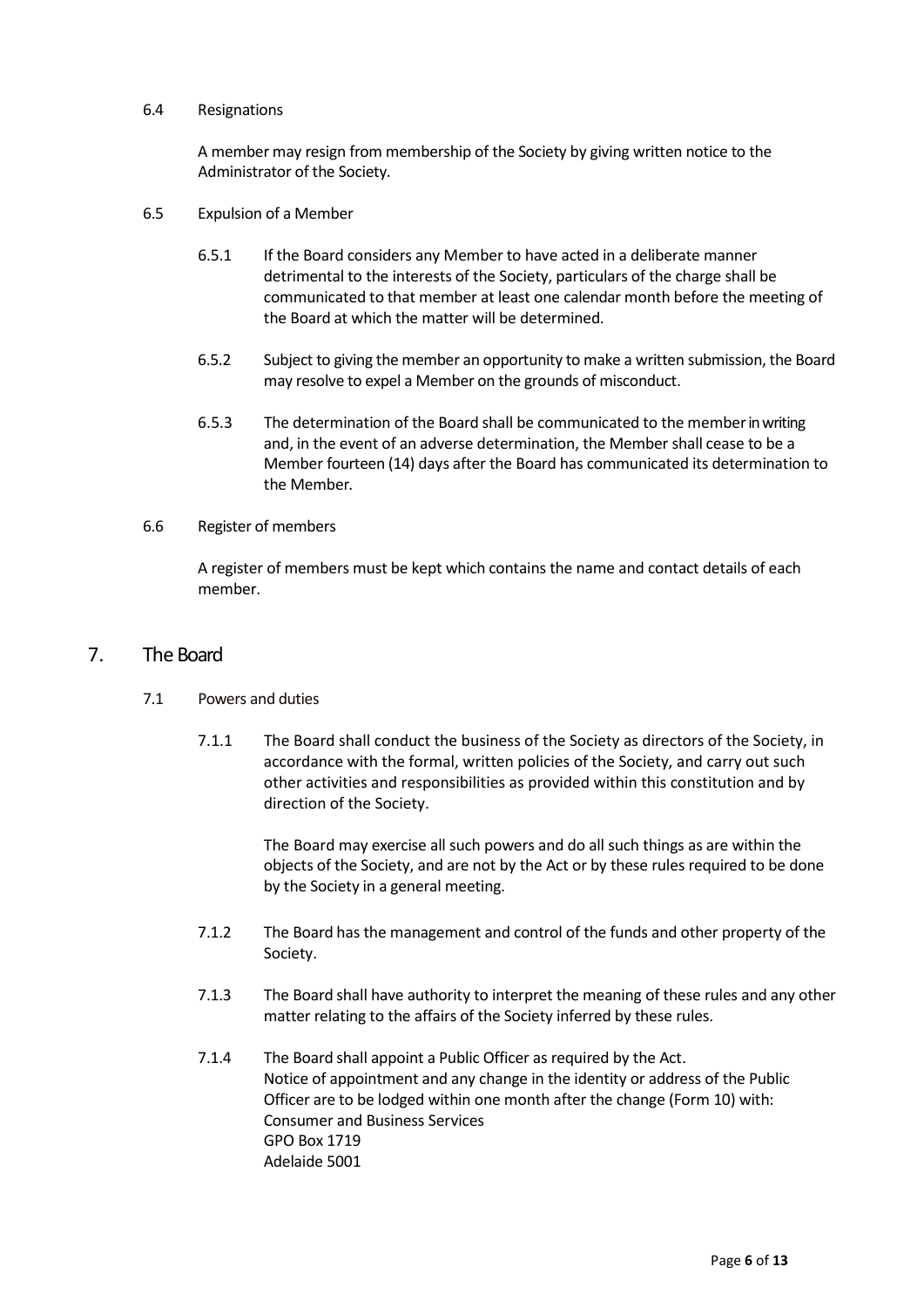#### 6.4 Resignations

 A member may resign from membership of the Society by giving written notice to the Administrator of the Society.

- 6.5 Expulsion of a Member
	- 6.5.1 If the Board considers any Member to have acted in a deliberate manner detrimental to the interests of the Society, particulars of the charge shall be communicated to that member at least one calendar month before the meeting of the Board at which the matter will be determined.
	- 6.5.2 Subject to giving the member an opportunity to make a written submission, the Board may resolve to expel a Member on the grounds of misconduct.
	- 6.5.3 The determination of the Board shall be communicated to the member in writing and, in the event of an adverse determination, the Member shall cease to be a Member fourteen (14) days after the Board has communicated its determination to the Member.

#### 6.6 Register of members

 A register of members must be kept which contains the name and contact details of each member.

#### 7. The Board

#### 7.1 Powers and duties

 7.1.1 The Board shall conduct the business of the Society as directors of the Society, in accordance with the formal, written policies of the Society, and carry out such other activities and responsibilities as provided within this constitution and by direction of the Society.

> The Board may exercise all such powers and do all such things as are within the objects of the Society, and are not by the Act or by these rules required to be done by the Society in a general meeting.

- 7.1.2 The Board has the management and control of the funds and other property of the Society.
- 7.1.3 The Board shall have authority to interpret the meaning of these rules and any other matter relating to the affairs of the Society inferred by these rules.
- 7.1.4 The Board shall appoint a Public Officer as required by the Act. Notice of appointment and any change in the identity or address of the Public Officer are to be lodged within one month after the change (Form 10) with: Consumer and Business Services GPO Box 1719 Adelaide 5001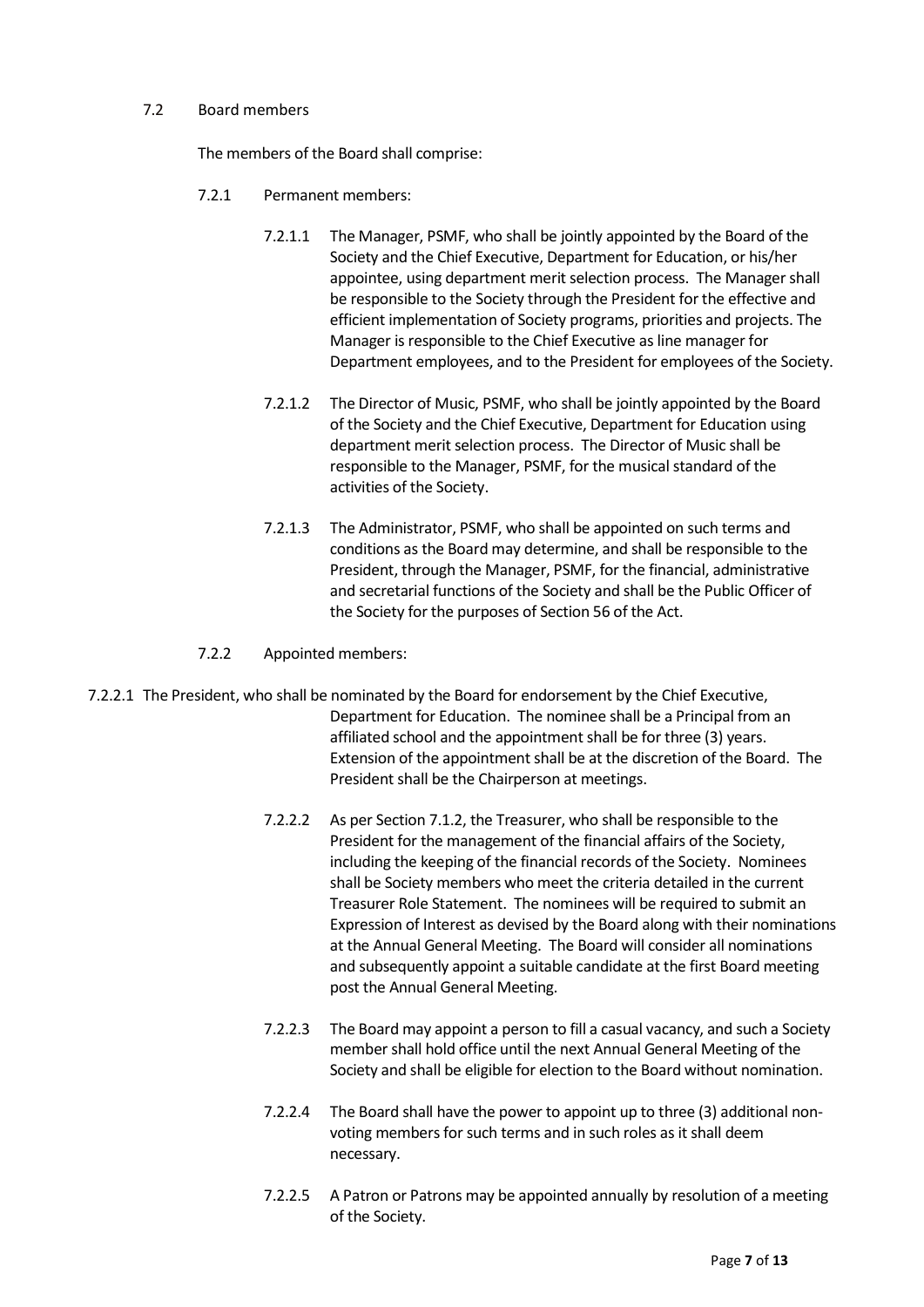#### 7.2 Board members

The members of the Board shall comprise:

- 7.2.1 Permanent members:
	- 7.2.1.1 The Manager, PSMF, who shall be jointly appointed by the Board of the Society and the Chief Executive, Department for Education, or his/her appointee, using department merit selection process. The Manager shall be responsible to the Society through the President for the effective and efficient implementation of Society programs, priorities and projects. The Manager is responsible to the Chief Executive as line manager for Department employees, and to the President for employees of the Society.
	- 7.2.1.2 The Director of Music, PSMF, who shall be jointly appointed by the Board of the Society and the Chief Executive, Department for Education using department merit selection process. The Director of Music shall be responsible to the Manager, PSMF, for the musical standard of the activities of the Society.
	- 7.2.1.3 The Administrator, PSMF, who shall be appointed on such terms and conditions as the Board may determine, and shall be responsible to the President, through the Manager, PSMF, for the financial, administrative and secretarial functions of the Society and shall be the Public Officer of the Society for the purposes of Section 56 of the Act.
- 7.2.2 Appointed members:
- 7.2.2.1 The President, who shall be nominated by the Board for endorsement by the Chief Executive, Department for Education. The nominee shall be a Principal from an affiliated school and the appointment shall be for three (3) years. Extension of the appointment shall be at the discretion of the Board. The President shall be the Chairperson at meetings.
	- 7.2.2.2 As per Section 7.1.2, the Treasurer, who shall be responsible to the President for the management of the financial affairs of the Society, including the keeping of the financial records of the Society. Nominees shall be Society members who meet the criteria detailed in the current Treasurer Role Statement. The nominees will be required to submit an Expression of Interest as devised by the Board along with their nominations at the Annual General Meeting. The Board will consider all nominations and subsequently appoint a suitable candidate at the first Board meeting post the Annual General Meeting.
	- 7.2.2.3 The Board may appoint a person to fill a casual vacancy, and such a Society member shall hold office until the next Annual General Meeting of the Society and shall be eligible for election to the Board without nomination.
	- 7.2.2.4 The Board shall have the power to appoint up to three (3) additional nonvoting members for such terms and in such roles as it shall deem necessary.
	- 7.2.2.5 A Patron or Patrons may be appointed annually by resolution of a meeting of the Society.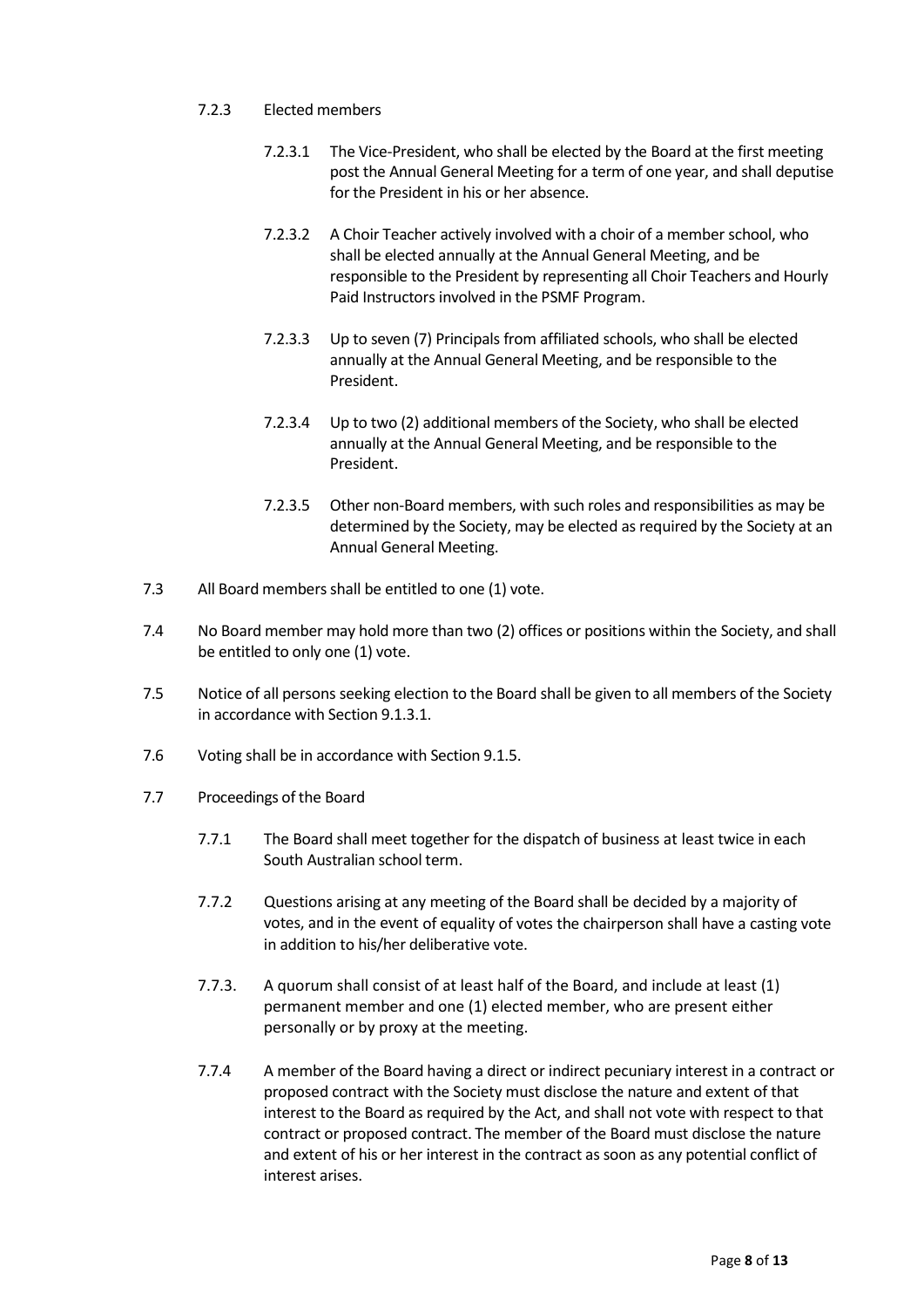- 7.2.3 Elected members
	- 7.2.3.1 The Vice-President, who shall be elected by the Board at the first meeting post the Annual General Meeting for a term of one year, and shall deputise for the President in his or her absence.
	- 7.2.3.2 A Choir Teacher actively involved with a choir of a member school, who shall be elected annually at the Annual General Meeting, and be responsible to the President by representing all Choir Teachers and Hourly Paid Instructors involved in the PSMF Program.
	- 7.2.3.3 Up to seven (7) Principals from affiliated schools, who shall be elected annually at the Annual General Meeting, and be responsible to the President.
	- 7.2.3.4 Up to two (2) additional members of the Society, who shall be elected annually at the Annual General Meeting, and be responsible to the President.
	- 7.2.3.5 Other non-Board members, with such roles and responsibilities as may be determined by the Society, may be elected as required by the Society at an Annual General Meeting.
- 7.3 All Board members shall be entitled to one (1) vote.
- 7.4 No Board member may hold more than two (2) offices or positions within the Society, and shall be entitled to only one (1) vote.
- 7.5 Notice of all persons seeking election to the Board shall be given to all members of the Society in accordance with Section 9.1.3.1.
- 7.6 Voting shall be in accordance with Section 9.1.5.
- 7.7 Proceedings of the Board
	- 7.7.1 The Board shall meet together for the dispatch of business at least twice in each South Australian school term.
	- 7.7.2 Questions arising at any meeting of the Board shall be decided by a majority of votes, and in the event of equality of votes the chairperson shall have a casting vote in addition to his/her deliberative vote.
	- 7.7.3. A quorum shall consist of at least half of the Board, and include at least (1) permanent member and one (1) elected member, who are present either personally or by proxy at the meeting.
	- 7.7.4 A member of the Board having a direct or indirect pecuniary interest in a contract or proposed contract with the Society must disclose the nature and extent of that interest to the Board as required by the Act, and shall not vote with respect to that contract or proposed contract. The member of the Board must disclose the nature and extent of his or her interest in the contract as soon as any potential conflict of interest arises.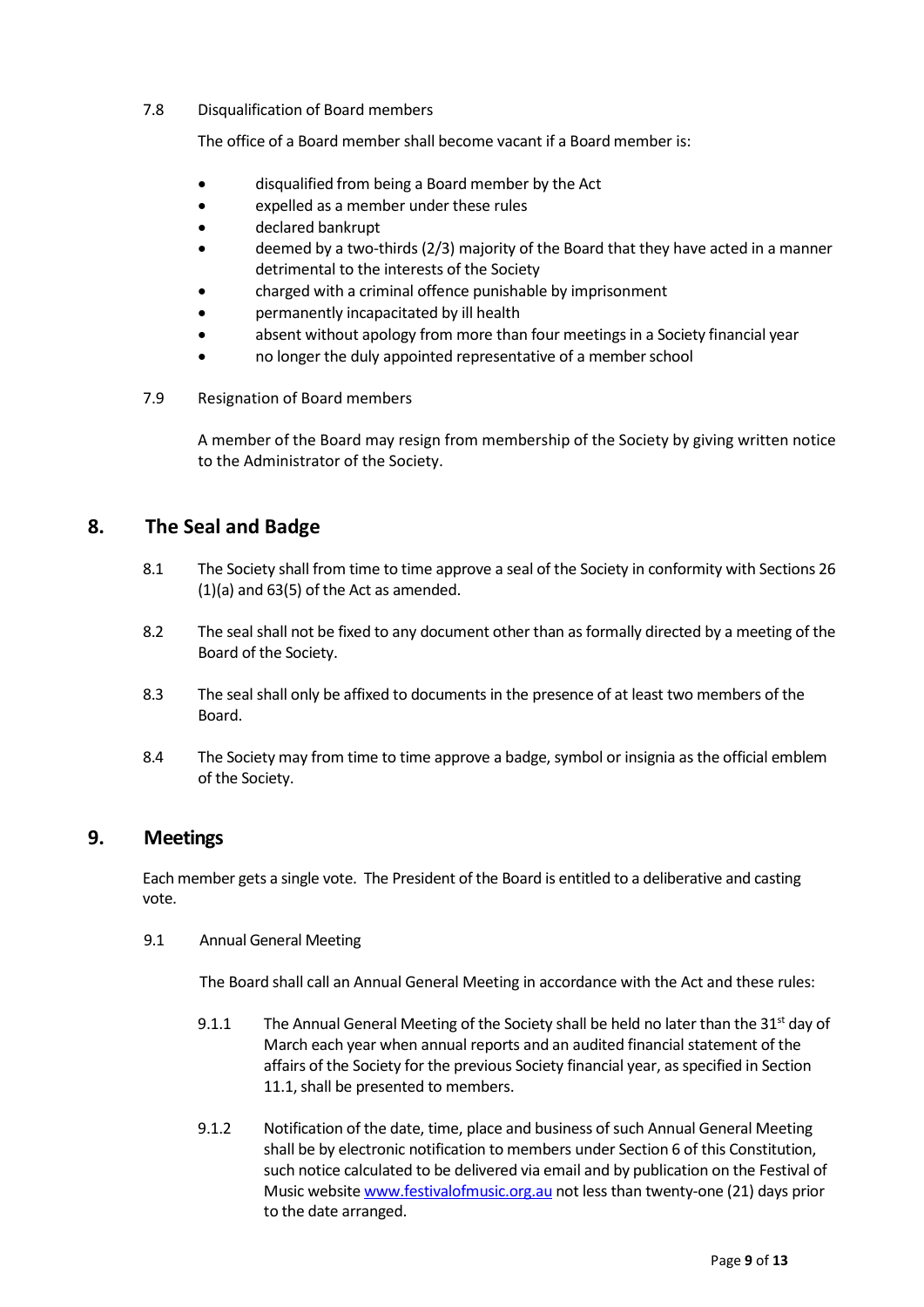#### 7.8 Disqualification of Board members

The office of a Board member shall become vacant if a Board member is:

- disqualified from being a Board member by the Act
- expelled as a member under these rules
- declared bankrupt
- deemed by a two-thirds (2/3) majority of the Board that they have acted in a manner detrimental to the interests of the Society
- charged with a criminal offence punishable by imprisonment
- permanently incapacitated by ill health
- absent without apology from more than four meetings in a Society financial year
- no longer the duly appointed representative of a member school
- 7.9 Resignation of Board members

 A member of the Board may resign from membership of the Society by giving written notice to the Administrator of the Society.

# 8. The Seal and Badge

- 8.1 The Society shall from time to time approve a seal of the Society in conformity with Sections 26 (1)(a) and 63(5) of the Act as amended.
- 8.2 The seal shall not be fixed to any document other than as formally directed by a meeting of the Board of the Society.
- 8.3 The seal shall only be affixed to documents in the presence of at least two members of the Board.
- 8.4 The Society may from time to time approve a badge, symbol or insignia as the official emblem of the Society.

# 9. Meetings

Each member gets a single vote. The President of the Board is entitled to a deliberative and casting vote.

9.1 Annual General Meeting

The Board shall call an Annual General Meeting in accordance with the Act and these rules:

- 9.1.1 The Annual General Meeting of the Society shall be held no later than the 31<sup>st</sup> day of March each year when annual reports and an audited financial statement of the affairs of the Society for the previous Society financial year, as specified in Section 11.1, shall be presented to members.
- 9.1.2 Notification of the date, time, place and business of such Annual General Meeting shall be by electronic notification to members under Section 6 of this Constitution, such notice calculated to be delivered via email and by publication on the Festival of Music website www.festivalofmusic.org.au not less than twenty-one (21) days prior to the date arranged.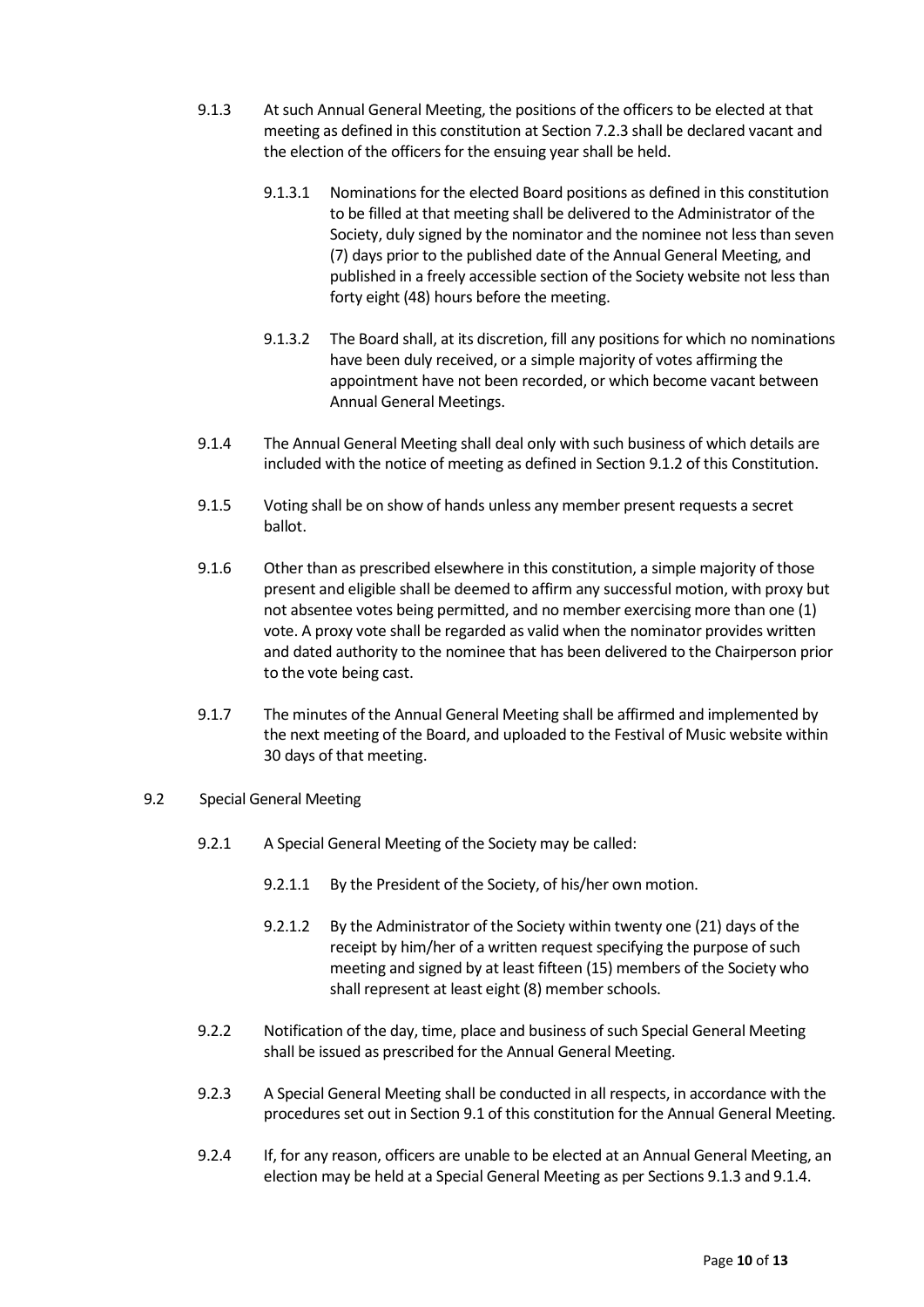- 9.1.3 At such Annual General Meeting, the positions of the officers to be elected at that meeting as defined in this constitution at Section 7.2.3 shall be declared vacant and the election of the officers for the ensuing year shall be held.
	- 9.1.3.1 Nominations for the elected Board positions as defined in this constitution to be filled at that meeting shall be delivered to the Administrator of the Society, duly signed by the nominator and the nominee not less than seven (7) days prior to the published date of the Annual General Meeting, and published in a freely accessible section of the Society website not less than forty eight (48) hours before the meeting.
	- 9.1.3.2 The Board shall, at its discretion, fill any positions for which no nominations have been duly received, or a simple majority of votes affirming the appointment have not been recorded, or which become vacant between Annual General Meetings.
- 9.1.4 The Annual General Meeting shall deal only with such business of which details are included with the notice of meeting as defined in Section 9.1.2 of this Constitution.
- 9.1.5 Voting shall be on show of hands unless any member present requests a secret ballot.
- 9.1.6 Other than as prescribed elsewhere in this constitution, a simple majority of those present and eligible shall be deemed to affirm any successful motion, with proxy but not absentee votes being permitted, and no member exercising more than one (1) vote. A proxy vote shall be regarded as valid when the nominator provides written and dated authority to the nominee that has been delivered to the Chairperson prior to the vote being cast.
- 9.1.7 The minutes of the Annual General Meeting shall be affirmed and implemented by the next meeting of the Board, and uploaded to the Festival of Music website within 30 days of that meeting.
- 9.2 Special General Meeting
	- 9.2.1 A Special General Meeting of the Society may be called:
		- 9.2.1.1 By the President of the Society, of his/her own motion.
		- 9.2.1.2 By the Administrator of the Society within twenty one (21) days of the receipt by him/her of a written request specifying the purpose of such meeting and signed by at least fifteen (15) members of the Society who shall represent at least eight (8) member schools.
	- 9.2.2 Notification of the day, time, place and business of such Special General Meeting shall be issued as prescribed for the Annual General Meeting.
	- 9.2.3 A Special General Meeting shall be conducted in all respects, in accordance with the procedures set out in Section 9.1 of this constitution for the Annual General Meeting.
	- 9.2.4 If, for any reason, officers are unable to be elected at an Annual General Meeting, an election may be held at a Special General Meeting as per Sections 9.1.3 and 9.1.4.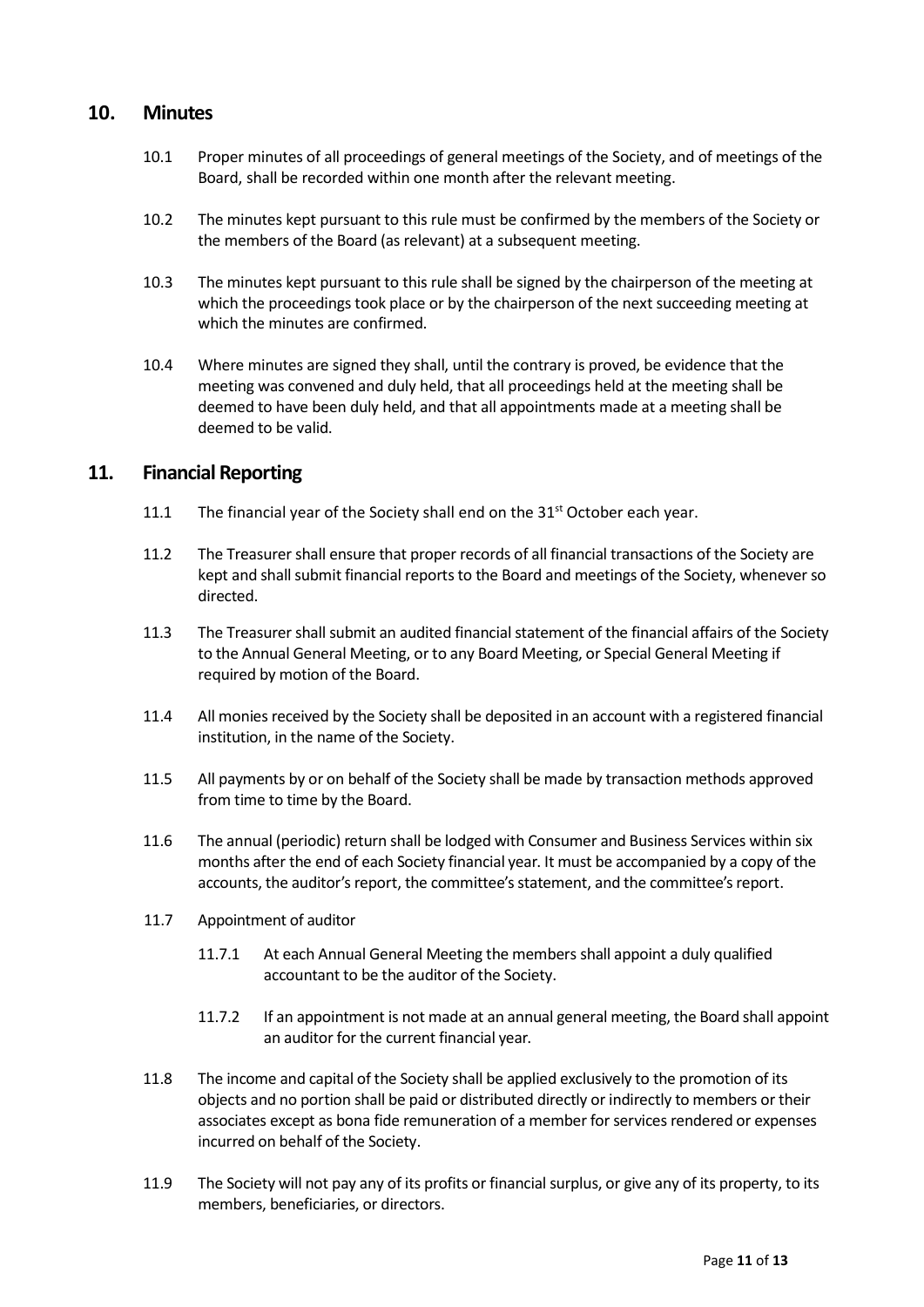### 10. Minutes

- 10.1 Proper minutes of all proceedings of general meetings of the Society, and of meetings of the Board, shall be recorded within one month after the relevant meeting.
- 10.2 The minutes kept pursuant to this rule must be confirmed by the members of the Society or the members of the Board (as relevant) at a subsequent meeting.
- 10.3 The minutes kept pursuant to this rule shall be signed by the chairperson of the meeting at which the proceedings took place or by the chairperson of the next succeeding meeting at which the minutes are confirmed.
- 10.4 Where minutes are signed they shall, until the contrary is proved, be evidence that the meeting was convened and duly held, that all proceedings held at the meeting shall be deemed to have been duly held, and that all appointments made at a meeting shall be deemed to be valid.

### 11. Financial Reporting

- 11.1 The financial year of the Society shall end on the  $31<sup>st</sup>$  October each year.
- 11.2 The Treasurer shall ensure that proper records of all financial transactions of the Society are kept and shall submit financial reports to the Board and meetings of the Society, whenever so directed.
- 11.3 The Treasurer shall submit an audited financial statement of the financial affairs of the Society to the Annual General Meeting, or to any Board Meeting, or Special General Meeting if required by motion of the Board.
- 11.4 All monies received by the Society shall be deposited in an account with a registered financial institution, in the name of the Society.
- 11.5 All payments by or on behalf of the Society shall be made by transaction methods approved from time to time by the Board.
- 11.6 The annual (periodic) return shall be lodged with Consumer and Business Services within six months after the end of each Society financial year. It must be accompanied by a copy of the accounts, the auditor's report, the committee's statement, and the committee's report.
- 11.7 Appointment of auditor
	- 11.7.1 At each Annual General Meeting the members shall appoint a duly qualified accountant to be the auditor of the Society.
	- 11.7.2 If an appointment is not made at an annual general meeting, the Board shall appoint an auditor for the current financial year.
- 11.8 The income and capital of the Society shall be applied exclusively to the promotion of its objects and no portion shall be paid or distributed directly or indirectly to members or their associates except as bona fide remuneration of a member for services rendered or expenses incurred on behalf of the Society.
- 11.9 The Society will not pay any of its profits or financial surplus, or give any of its property, to its members, beneficiaries, or directors.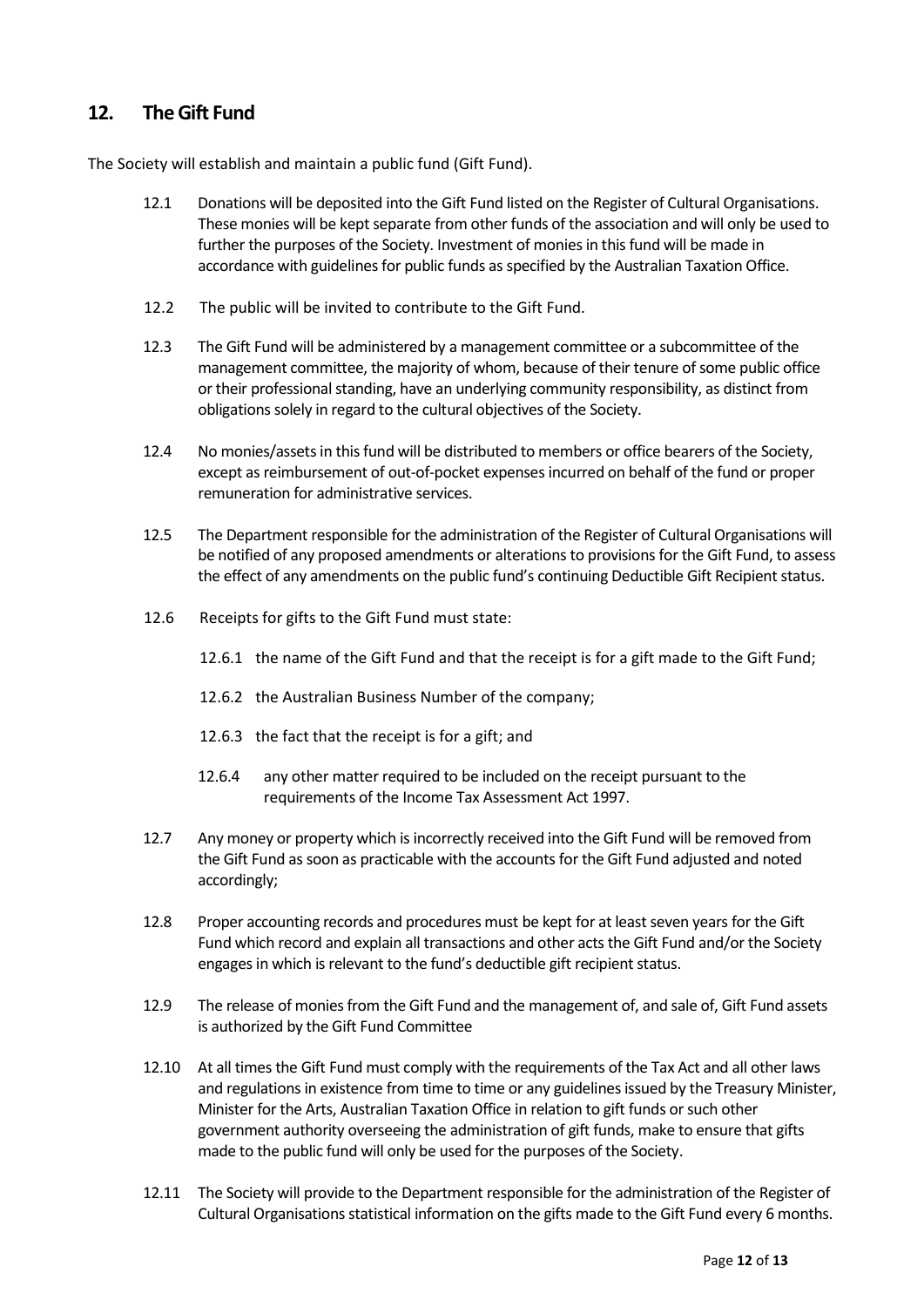# 12. The Gift Fund

The Society will establish and maintain a public fund (Gift Fund).

- 12.1 Donations will be deposited into the Gift Fund listed on the Register of Cultural Organisations. These monies will be kept separate from other funds of the association and will only be used to further the purposes of the Society. Investment of monies in this fund will be made in accordance with guidelines for public funds as specified by the Australian Taxation Office.
- 12.2 The public will be invited to contribute to the Gift Fund.
- 12.3 The Gift Fund will be administered by a management committee or a subcommittee of the management committee, the majority of whom, because of their tenure of some public office or their professional standing, have an underlying community responsibility, as distinct from obligations solely in regard to the cultural objectives of the Society.
- 12.4 No monies/assets in this fund will be distributed to members or office bearers of the Society, except as reimbursement of out-of-pocket expenses incurred on behalf of the fund or proper remuneration for administrative services.
- 12.5 The Department responsible for the administration of the Register of Cultural Organisations will be notified of any proposed amendments or alterations to provisions for the Gift Fund, to assess the effect of any amendments on the public fund's continuing Deductible Gift Recipient status.
- 12.6 Receipts for gifts to the Gift Fund must state:
	- 12.6.1 the name of the Gift Fund and that the receipt is for a gift made to the Gift Fund;
	- 12.6.2 the Australian Business Number of the company;
	- 12.6.3 the fact that the receipt is for a gift; and
	- 12.6.4 any other matter required to be included on the receipt pursuant to the requirements of the Income Tax Assessment Act 1997.
- 12.7 Any money or property which is incorrectly received into the Gift Fund will be removed from the Gift Fund as soon as practicable with the accounts for the Gift Fund adjusted and noted accordingly;
- 12.8 Proper accounting records and procedures must be kept for at least seven years for the Gift Fund which record and explain all transactions and other acts the Gift Fund and/or the Society engages in which is relevant to the fund's deductible gift recipient status.
- 12.9 The release of monies from the Gift Fund and the management of, and sale of, Gift Fund assets is authorized by the Gift Fund Committee
- 12.10 At all times the Gift Fund must comply with the requirements of the Tax Act and all other laws and regulations in existence from time to time or any guidelines issued by the Treasury Minister, Minister for the Arts, Australian Taxation Office in relation to gift funds or such other government authority overseeing the administration of gift funds, make to ensure that gifts made to the public fund will only be used for the purposes of the Society.
- 12.11 The Society will provide to the Department responsible for the administration of the Register of Cultural Organisations statistical information on the gifts made to the Gift Fund every 6 months.